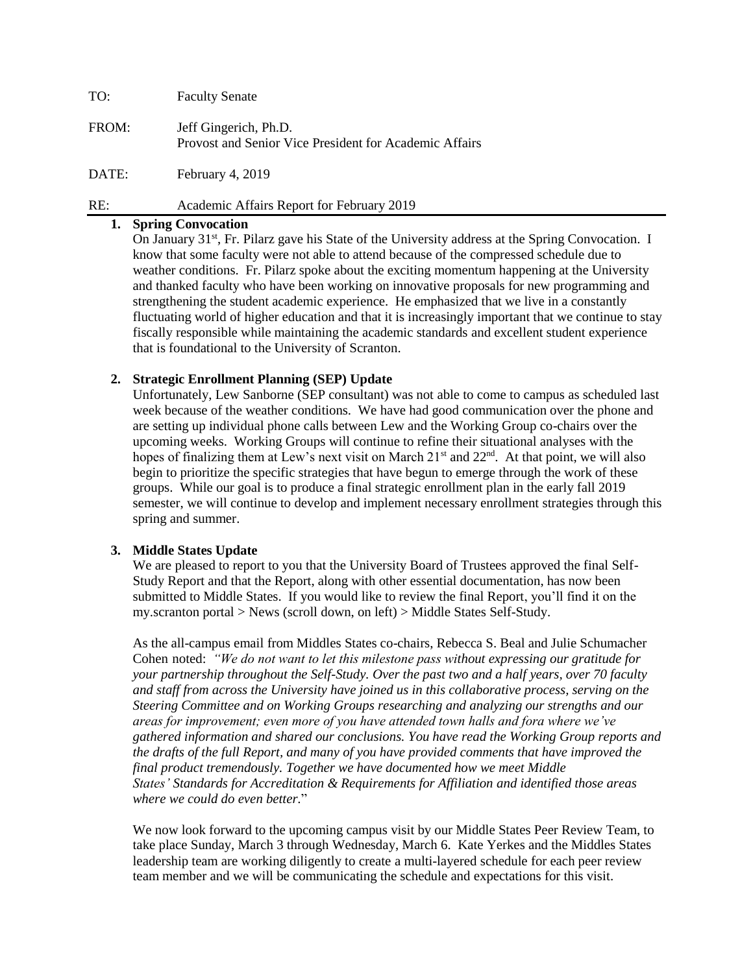TO: Faculty Senate FROM: Jeff Gingerich, Ph.D. Provost and Senior Vice President for Academic Affairs DATE: February 4, 2019

RE: Academic Affairs Report for February 2019

# **1. Spring Convocation**

On January 31<sup>st</sup>, Fr. Pilarz gave his State of the University address at the Spring Convocation. I know that some faculty were not able to attend because of the compressed schedule due to weather conditions. Fr. Pilarz spoke about the exciting momentum happening at the University and thanked faculty who have been working on innovative proposals for new programming and strengthening the student academic experience. He emphasized that we live in a constantly fluctuating world of higher education and that it is increasingly important that we continue to stay fiscally responsible while maintaining the academic standards and excellent student experience that is foundational to the University of Scranton.

## **2. Strategic Enrollment Planning (SEP) Update**

Unfortunately, Lew Sanborne (SEP consultant) was not able to come to campus as scheduled last week because of the weather conditions. We have had good communication over the phone and are setting up individual phone calls between Lew and the Working Group co-chairs over the upcoming weeks. Working Groups will continue to refine their situational analyses with the hopes of finalizing them at Lew's next visit on March  $21<sup>st</sup>$  and  $22<sup>nd</sup>$ . At that point, we will also begin to prioritize the specific strategies that have begun to emerge through the work of these groups. While our goal is to produce a final strategic enrollment plan in the early fall 2019 semester, we will continue to develop and implement necessary enrollment strategies through this spring and summer.

## **3. Middle States Update**

We are pleased to report to you that the University Board of Trustees approved the final Self-Study Report and that the Report, along with other essential documentation, has now been submitted to Middle States. If you would like to review the final Report, you'll find it on the my.scranton portal > News (scroll down, on left) > Middle States Self-Study.

As the all-campus email from Middles States co-chairs, Rebecca S. Beal and Julie Schumacher Cohen noted: *"We do not want to let this milestone pass without expressing our gratitude for your partnership throughout the Self-Study. Over the past two and a half years, over 70 faculty and staff from across the University have joined us in this collaborative process, serving on the Steering Committee and on Working Groups researching and analyzing our strengths and our areas for improvement; even more of you have attended town halls and fora where we've gathered information and shared our conclusions. You have read the Working Group reports and the drafts of the full Report, and many of you have provided comments that have improved the final product tremendously. Together we have documented how we meet Middle States' Standards for Accreditation & Requirements for Affiliation and identified those areas where we could do even better.*"

We now look forward to the upcoming campus visit by our Middle States Peer Review Team, to take place Sunday, March 3 through Wednesday, March 6. Kate Yerkes and the Middles States leadership team are working diligently to create a multi-layered schedule for each peer review team member and we will be communicating the schedule and expectations for this visit.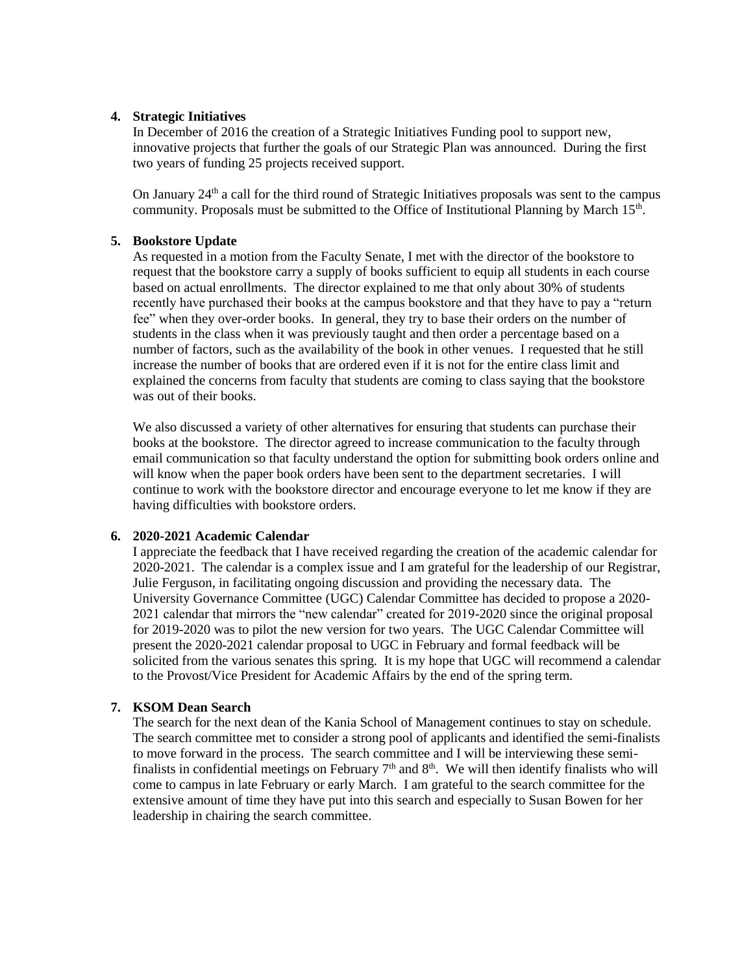### **4. Strategic Initiatives**

In December of 2016 the creation of a Strategic Initiatives Funding pool to support new, innovative projects that further the goals of our Strategic Plan was announced. During the first two years of funding 25 projects received support.

On January 24<sup>th</sup> a call for the third round of Strategic Initiatives proposals was sent to the campus community. Proposals must be submitted to the Office of Institutional Planning by March 15<sup>th</sup>.

## **5. Bookstore Update**

As requested in a motion from the Faculty Senate, I met with the director of the bookstore to request that the bookstore carry a supply of books sufficient to equip all students in each course based on actual enrollments. The director explained to me that only about 30% of students recently have purchased their books at the campus bookstore and that they have to pay a "return fee" when they over-order books. In general, they try to base their orders on the number of students in the class when it was previously taught and then order a percentage based on a number of factors, such as the availability of the book in other venues. I requested that he still increase the number of books that are ordered even if it is not for the entire class limit and explained the concerns from faculty that students are coming to class saying that the bookstore was out of their books.

We also discussed a variety of other alternatives for ensuring that students can purchase their books at the bookstore. The director agreed to increase communication to the faculty through email communication so that faculty understand the option for submitting book orders online and will know when the paper book orders have been sent to the department secretaries. I will continue to work with the bookstore director and encourage everyone to let me know if they are having difficulties with bookstore orders.

#### **6. 2020-2021 Academic Calendar**

I appreciate the feedback that I have received regarding the creation of the academic calendar for 2020-2021. The calendar is a complex issue and I am grateful for the leadership of our Registrar, Julie Ferguson, in facilitating ongoing discussion and providing the necessary data. The University Governance Committee (UGC) Calendar Committee has decided to propose a 2020- 2021 calendar that mirrors the "new calendar" created for 2019-2020 since the original proposal for 2019-2020 was to pilot the new version for two years. The UGC Calendar Committee will present the 2020-2021 calendar proposal to UGC in February and formal feedback will be solicited from the various senates this spring. It is my hope that UGC will recommend a calendar to the Provost/Vice President for Academic Affairs by the end of the spring term.

## **7. KSOM Dean Search**

The search for the next dean of the Kania School of Management continues to stay on schedule. The search committee met to consider a strong pool of applicants and identified the semi-finalists to move forward in the process. The search committee and I will be interviewing these semifinalists in confidential meetings on February  $7<sup>th</sup>$  and  $8<sup>th</sup>$ . We will then identify finalists who will come to campus in late February or early March. I am grateful to the search committee for the extensive amount of time they have put into this search and especially to Susan Bowen for her leadership in chairing the search committee.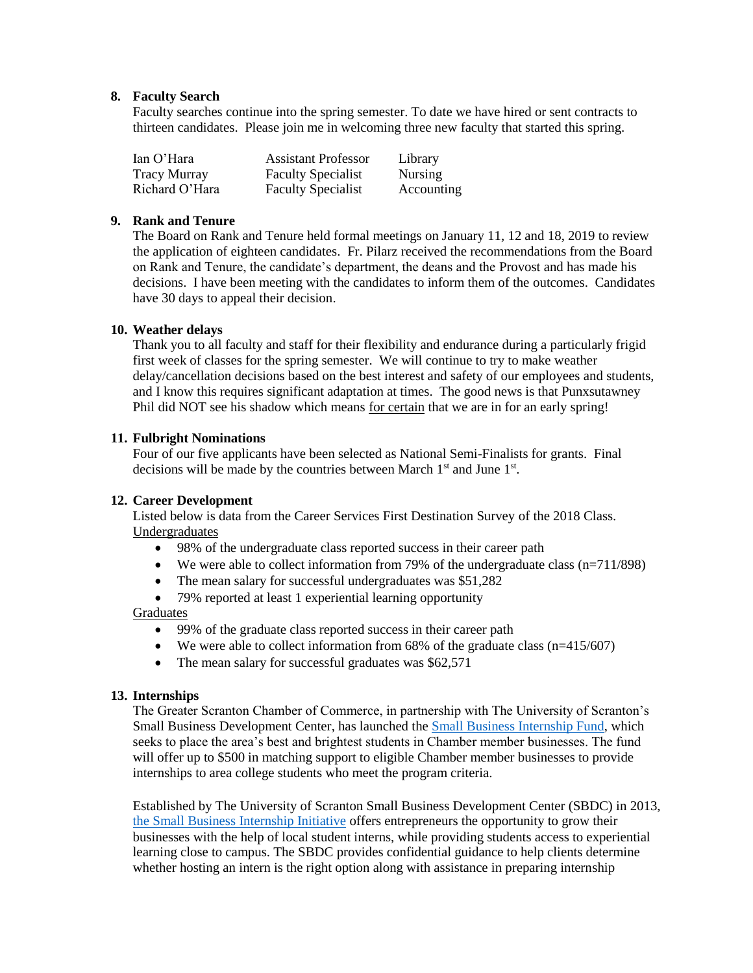## **8. Faculty Search**

Faculty searches continue into the spring semester. To date we have hired or sent contracts to thirteen candidates. Please join me in welcoming three new faculty that started this spring.

| Ian O'Hara          | <b>Assistant Professor</b> | Library        |
|---------------------|----------------------------|----------------|
| <b>Tracy Murray</b> | <b>Faculty Specialist</b>  | <b>Nursing</b> |
| Richard O'Hara      | <b>Faculty Specialist</b>  | Accounting     |

## **9. Rank and Tenure**

The Board on Rank and Tenure held formal meetings on January 11, 12 and 18, 2019 to review the application of eighteen candidates. Fr. Pilarz received the recommendations from the Board on Rank and Tenure, the candidate's department, the deans and the Provost and has made his decisions. I have been meeting with the candidates to inform them of the outcomes. Candidates have 30 days to appeal their decision.

## **10. Weather delays**

Thank you to all faculty and staff for their flexibility and endurance during a particularly frigid first week of classes for the spring semester. We will continue to try to make weather delay/cancellation decisions based on the best interest and safety of our employees and students, and I know this requires significant adaptation at times. The good news is that Punxsutawney Phil did NOT see his shadow which means for certain that we are in for an early spring!

## **11. Fulbright Nominations**

Four of our five applicants have been selected as National Semi-Finalists for grants. Final decisions will be made by the countries between March 1<sup>st</sup> and June 1<sup>st</sup>.

## **12. Career Development**

Listed below is data from the Career Services First Destination Survey of the 2018 Class. Undergraduates

- 98% of the undergraduate class reported success in their career path
- We were able to collect information from 79% of the undergraduate class (n=711/898)
- The mean salary for successful undergraduates was \$51,282
- 79% reported at least 1 experiential learning opportunity

#### **Graduates**

- 99% of the graduate class reported success in their career path
- We were able to collect information from  $68\%$  of the graduate class ( $n=415/607$ )
- The mean salary for successful graduates was \$62,571

#### **13. Internships**

The Greater Scranton Chamber of Commerce, in partnership with The University of Scranton's Small Business Development Center, has launched the [Small Business Internship Fund,](https://www.scrantonchamber.com/internship/) which seeks to place the area's best and brightest students in Chamber member businesses. The fund will offer up to \$500 in matching support to eligible Chamber member businesses to provide internships to area college students who meet the program criteria.

Established by The University of Scranton Small Business Development Center (SBDC) in 2013, [the Small Business Internship Initiative](http://www.scrantonsbdc.com/internships/) offers entrepreneurs the opportunity to grow their businesses with the help of local student interns, while providing students access to experiential learning close to campus. The SBDC provides confidential guidance to help clients determine whether hosting an intern is the right option along with assistance in preparing internship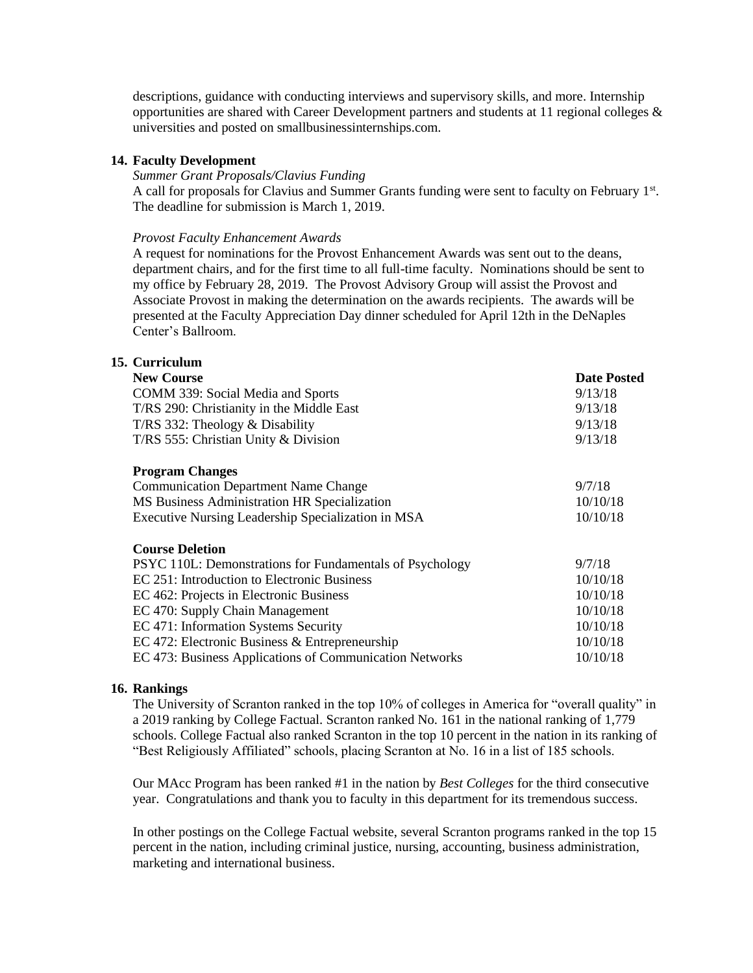descriptions, guidance with conducting interviews and supervisory skills, and more. Internship opportunities are shared with Career Development partners and students at 11 regional colleges  $\&$ universities and posted on smallbusinessinternships.com.

#### **14. Faculty Development**

### *Summer Grant Proposals/Clavius Funding*

A call for proposals for Clavius and Summer Grants funding were sent to faculty on February 1<sup>st</sup>. The deadline for submission is March 1, 2019.

#### *Provost Faculty Enhancement Awards*

A request for nominations for the Provost Enhancement Awards was sent out to the deans, department chairs, and for the first time to all full-time faculty. Nominations should be sent to my office by February 28, 2019. The Provost Advisory Group will assist the Provost and Associate Provost in making the determination on the awards recipients. The awards will be presented at the Faculty Appreciation Day dinner scheduled for April 12th in the DeNaples Center's Ballroom.

## **15. Curriculum**

| 9/13/18<br>9/13/18<br>9/13/18<br>9/13/18 |
|------------------------------------------|
|                                          |
|                                          |
|                                          |
|                                          |
|                                          |
| 9/7/18                                   |
| 10/10/18                                 |
| 10/10/18                                 |
|                                          |
| 9/7/18                                   |
| 10/10/18                                 |
| 10/10/18                                 |
| 10/10/18                                 |
| 10/10/18                                 |
| 10/10/18                                 |
| 10/10/18                                 |
|                                          |

### **16. Rankings**

The University of Scranton ranked in the top 10% of colleges in America for "overall quality" in a 2019 ranking by College Factual. Scranton ranked No. 161 in the national ranking of 1,779 schools. College Factual also ranked Scranton in the top 10 percent in the nation in its ranking of "Best Religiously Affiliated" schools, placing Scranton at No. 16 in a list of 185 schools.

Our MAcc Program has been ranked #1 in the nation by *Best Colleges* for the third consecutive year. Congratulations and thank you to faculty in this department for its tremendous success.

In other postings on the College Factual website, several Scranton programs ranked in the top 15 percent in the nation, including criminal justice, nursing, accounting, business administration, marketing and international business.